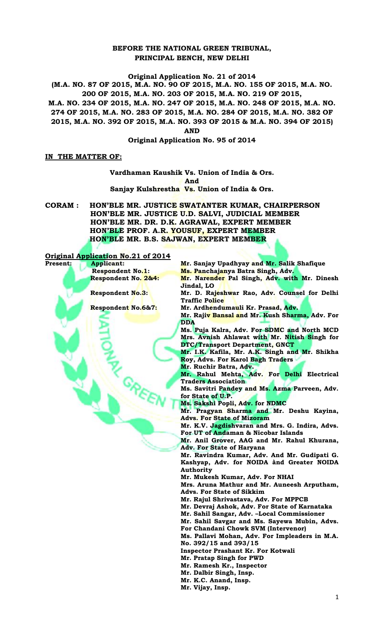## **BEFORE THE NATIONAL GREEN TRIBUNAL, PRINCIPAL BENCH, NEW DELHI**

# **Original Application No. 21 of 2014**

**(M.A. NO. 87 OF 2015, M.A. NO. 90 OF 2015, M.A. NO. 155 OF 2015, M.A. NO. 200 OF 2015, M.A. NO. 203 OF 2015, M.A. NO. 219 OF 2015,**

**M.A. NO. 234 OF 2015, M.A. NO. 247 OF 2015, M.A. NO. 248 OF 2015, M.A. NO.** 

**274 OF 2015, M.A. NO. 283 OF 2015, M.A. NO. 284 OF 2015, M.A. NO. 382 OF** 

**2015, M.A. NO. 392 OF 2015, M.A. NO. 393 OF 2015 & M.A. NO. 394 OF 2015)**

**AND** 

**Original Application No. 95 of 2014**

## **IN THE MATTER OF:**

#### **Vardhaman Kaushik Vs. Union of India & Ors. And Sanjay Kulshrestha Vs. Union of India & Ors.**

**CORAM : HON'BLE MR. JUSTICE SWATANTER KUMAR, CHAIRPERSON HON'BLE MR. JUSTICE U.D. SALVI, JUDICIAL MEMBER HON'BLE MR. DR. D.K. AGRAWAL, EXPERT MEMBER HON'BLE PROF. A.R. YOUSUF, EXPERT MEMBER HON'BLE MR. B.S. SAJWAN, EXPERT MEMBER**

**Original Application No.21 of 2014**

| $U_{15}$ $U_{2}$ | HURLION NO.21 OI 2017   |                                                 |
|------------------|-------------------------|-------------------------------------------------|
| <b>Present:</b>  | <b>Applicant:</b>       | Mr. Sanjay Upadhyay and Mr. Salik Shafique      |
|                  | <b>Respondent No.1:</b> | Ms. Panchajanya Batra Singh, Adv.               |
|                  | Respondent No. 2&4:     | Mr. Narender Pal Singh, Adv. with Mr. Dinesh    |
|                  |                         | Jindal, LO                                      |
|                  | <b>Respondent No.3:</b> | Mr. D. Rajeshwar Rao, Adv. Counsel for Delhi    |
|                  |                         | <b>Traffic Police</b>                           |
|                  | Respondent No.6&7:      | Mr. Ardhendumauli Kr. Prasad, Adv.              |
|                  |                         | Mr. Rajiv Bansal and Mr. Kush Sharma, Adv. For  |
|                  |                         | <b>DDA</b>                                      |
|                  |                         | Ms. Puja Kalra, Adv. For SDMC and North MCD     |
|                  |                         | Mrs. Avnish Ahlawat with Mr. Nitish Singh for   |
|                  |                         | DTC/Transport Department, GNCT                  |
|                  |                         | Mr. I.K. Kafila, Mr. A.K. Singh and Mr. Shikha  |
|                  |                         | Roy, Advs. For Karol Bagh Traders               |
|                  |                         | Mr. Ruchir Batra, Adv.                          |
|                  |                         | Mr. Rahul Mehta, Adv. For Delhi Electrical      |
|                  |                         | <b>Traders Association</b>                      |
|                  |                         | Ms. Savitri Pandey and Ms. Azma Parveen, Adv.   |
|                  |                         | for State of U.P.                               |
|                  |                         | Ms. Sakshi Popli, Adv. for NDMC                 |
|                  |                         | Mr. Pragyan Sharma and Mr. Deshu Kayina,        |
|                  |                         | <b>Advs. For State of Mizoram</b>               |
|                  |                         | Mr. K.V. Jagdishvaran and Mrs. G. Indira, Advs. |
|                  |                         | For UT of Andaman & Nicobar Islands             |
|                  |                         | Mr. Anil Grover, AAG and Mr. Rahul Khurana,     |
|                  |                         | <b>Adv. For State of Haryana</b>                |
|                  |                         | Mr. Ravindra Kumar, Adv. And Mr. Gudipati G.    |
|                  |                         | Kashyap, Adv. for NOIDA ànd Greater NOIDA       |
|                  |                         | <b>Authority</b>                                |
|                  |                         | Mr. Mukesh Kumar, Adv. For NHAI                 |
|                  |                         | Mrs. Aruna Mathur and Mr. Auneesh Arputham,     |
|                  |                         | <b>Advs. For State of Sikkim</b>                |
|                  |                         | Mr. Rajul Shrivastava, Adv. For MPPCB           |
|                  |                         | Mr. Devraj Ashok, Adv. For State of Karnataka   |
|                  |                         | Mr. Sahil Sangar, Adv. -Local Commissioner      |
|                  |                         | Mr. Sahil Savgar and Ms. Sayewa Mubin, Advs.    |
|                  |                         | For Chandani Chowk SVM (Intervenor)             |
|                  |                         | Ms. Pallavi Mohan, Adv. For Impleaders in M.A.  |
|                  |                         | No. 392/15 and 393/15                           |
|                  |                         | Inspector Prashant Kr. For Kotwali              |
|                  |                         | Mr. Pratap Singh for PWD                        |
|                  |                         | Mr. Ramesh Kr., Inspector                       |
|                  |                         | Mr. Dalbir Singh, Insp.                         |
|                  |                         | Mr. K.C. Anand, Insp.                           |
|                  |                         | Mr. Vijay, Insp.                                |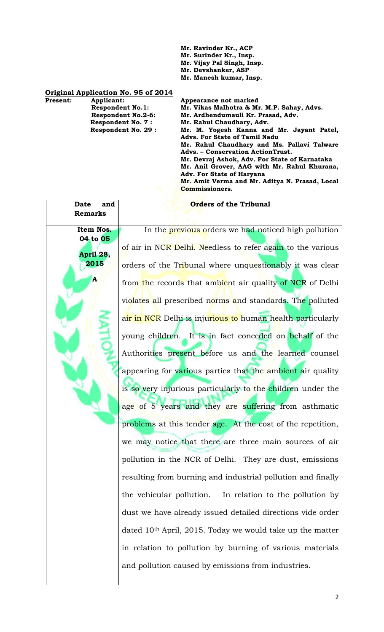**Mr. Ravinder Kr., ACP**

- **Mr. Surinder Kr., Insp.**
- **Mr. Vijay Pal Singh, Insp.**
- **Mr. Devshanker, ASP**

**Commissioners.**

**Mr. Manesh kumar, Insp.**

#### **Original Application No. 95 of 2014**

- **Present:** Applicant: Applicant: Appearance not marked Respondent No.1: Mr. Vikas Malhotra & Mr.
	- **Respondent No.1: Mr. Vikas Malhotra & Mr. M.P. Sahay, Advs. Respondent No.2-6: Mr. Ardhendumauli Kr. Prasad, Adv. Respondent No. 7 : Mr. Rahul Chaudhary, Adv. Respondent No. 29 : Mr. M. Yogesh Kanna and Mr. Jayant Patel, Advs. For State of Tamil Nadu Mr. Rahul Chaudhary and Ms. Pallavi Talware Advs. – Conservation ActionTrust. Mr. Devraj Ashok, Adv. For State of Karnataka Mr. Anil Grover, AAG with Mr. Rahul Khurana, Adv. For State of Haryana Mr. Amit Verma and Mr. Aditya N. Prasad, Local**

| <b>Date</b><br>and<br><b>Remarks</b> | <b>Orders of the Tribunal</b>                                         |
|--------------------------------------|-----------------------------------------------------------------------|
| Item Nos.                            | In the previous orders we had noticed high pollution                  |
| 04 to 05<br>April 28,                | of air in NCR Delhi. Needless to refer again to the various           |
| 2015                                 | orders of the Tribunal where unquestionably it was clear              |
| A                                    | from the records that ambient air quality of NCR of Delhi             |
|                                      | violates all prescribed norms and standards. The polluted             |
|                                      | air in NCR Delhi is injurious to human health particularly            |
|                                      | young children. It is in fact conceded on behalf of the               |
|                                      | Authorities present before us and the learned counsel                 |
|                                      | appearing for various parties that the ambient air quality            |
|                                      | is so very injurious particularly to the children under the           |
|                                      | age of 5 years and they are suffering from asthmatic                  |
|                                      | problems at this tender age. At the cost of the repetition,           |
|                                      | we may notice that there are three main sources of air                |
|                                      | pollution in the NCR of Delhi. They are dust, emissions               |
|                                      | resulting from burning and industrial pollution and finally           |
|                                      | the vehicular pollution.<br>In relation to the pollution by           |
|                                      | dust we have already issued detailed directions vide order            |
|                                      | dated 10 <sup>th</sup> April, 2015. Today we would take up the matter |
|                                      | in relation to pollution by burning of various materials              |
|                                      | and pollution caused by emissions from industries.                    |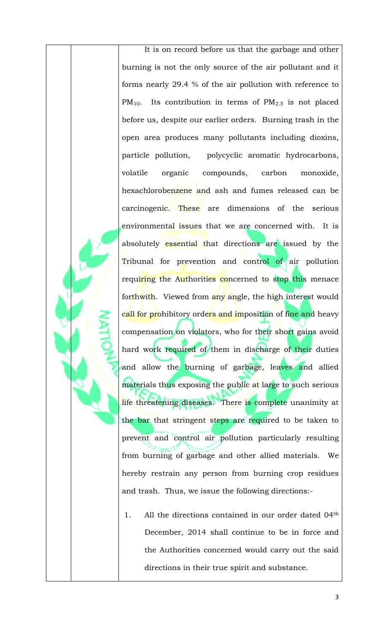It is on record before us that the garbage and other burning is not the only source of the air pollutant and it forms nearly 29.4 % of the air pollution with reference to PM<sub>10</sub>. Its contribution in terms of PM<sub>2.5</sub> is not placed before us, despite our earlier orders. Burning trash in the open area produces many pollutants including dioxins, particle pollution, polycyclic aromatic hydrocarbons, volatile organic compounds, carbon monoxide, hexachlorobenzene and ash and fumes released can be carcinogenic. These are dimensions of the serious environmental issues that we are concerned with. It is absolutely essential that directions are issued by the Tribunal for prevention and control of air pollution requiring the Authorities concerned to stop this menace forthwith. Viewed from any angle, the high interest would call for prohibitory orders and imposition of fine and heavy compensation on violators, who for their short gains avoid hard work required of them in discharge of their duties and allow the burning of garbage, leaves and allied materials thus exposing the public at large to such serious life threatening diseases. There is complete unanimity at the bar that stringent steps are required to be taken to prevent and control air pollution particularly resulting from burning of garbage and other allied materials. We hereby restrain any person from burning crop residues and trash. Thus, we issue the following directions:-

1. All the directions contained in our order dated 04th December, 2014 shall continue to be in force and the Authorities concerned would carry out the said directions in their true spirit and substance.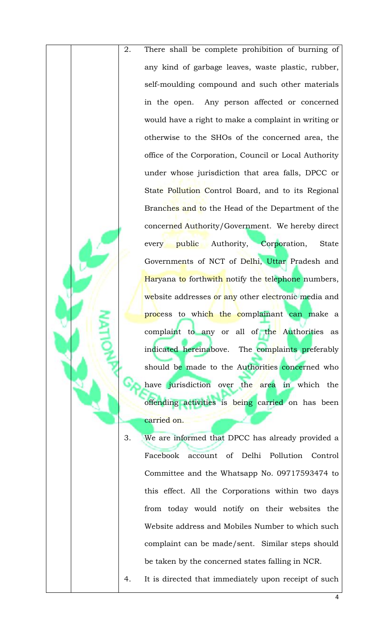2. There shall be complete prohibition of burning of any kind of garbage leaves, waste plastic, rubber, self-moulding compound and such other materials in the open. Any person affected or concerned would have a right to make a complaint in writing or otherwise to the SHOs of the concerned area, the office of the Corporation, Council or Local Authority under whose jurisdiction that area falls, DPCC or State Pollution Control Board, and to its Regional Branches and to the Head of the Department of the concerned Authority/Government. We hereby direct every public Authority, Corporation, State Governments of NCT of Delhi, Uttar Pradesh and Haryana to forthwith notify the telephone numbers, website addresses or any other electronic media and process to which the complainant can make a complaint to any or all of the Authorities as indicated hereinabove. The complaints preferably should be made to the Authorities concerned who have jurisdiction over the area in which the offending activities is being carried on has been carried on.

3. We are informed that DPCC has already provided a Facebook account of Delhi Pollution Control Committee and the Whatsapp No. 09717593474 to this effect. All the Corporations within two days from today would notify on their websites the Website address and Mobiles Number to which such complaint can be made/sent. Similar steps should be taken by the concerned states falling in NCR.

4. It is directed that immediately upon receipt of such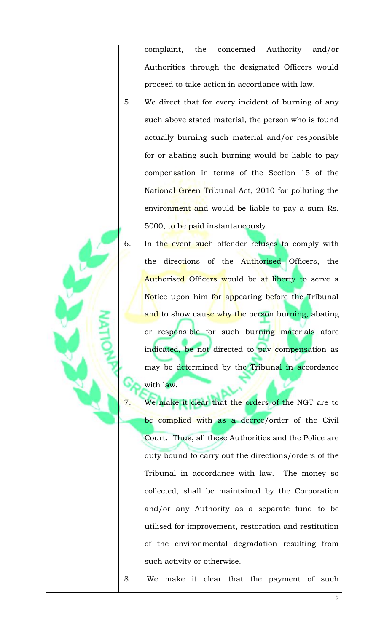complaint, the concerned Authority and/or Authorities through the designated Officers would proceed to take action in accordance with law.

- 5. We direct that for every incident of burning of any such above stated material, the person who is found actually burning such material and/or responsible for or abating such burning would be liable to pay compensation in terms of the Section 15 of the National Green Tribunal Act, 2010 for polluting the environment and would be liable to pay a sum Rs. 5000, to be paid instantaneously.
- 6. In the event such offender refuses to comply with the directions of the Authorised Officers, the Authorised Officers would be at liberty to serve a Notice upon him for appearing before the Tribunal and to show cause why the person burning, abating or responsible for such burning materials afore indicated, be not directed to pay compensation as may be determined by the Tribunal in accordance with law.
	- 7. We make it clear that the orders of the NGT are to be complied with as a decree/order of the Civil Court. Thus, all these Authorities and the Police are duty bound to carry out the directions/orders of the Tribunal in accordance with law. The money so collected, shall be maintained by the Corporation and/or any Authority as a separate fund to be utilised for improvement, restoration and restitution of the environmental degradation resulting from such activity or otherwise.

8. We make it clear that the payment of such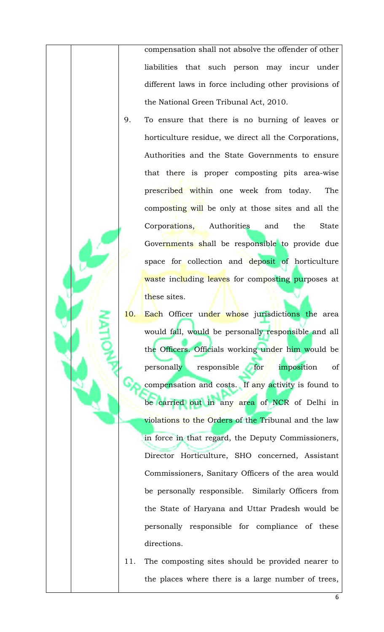compensation shall not absolve the offender of other liabilities that such person may incur under different laws in force including other provisions of the National Green Tribunal Act, 2010.

- 9. To ensure that there is no burning of leaves or horticulture residue, we direct all the Corporations, Authorities and the State Governments to ensure that there is proper composting pits area-wise prescribed within one week from today. The composting will be only at those sites and all the Corporations, Authorities and the State Governments shall be responsible to provide due space for collection and deposit of horticulture waste including leaves for composting purposes at these sites.
- 10. Each Officer under whose jurisdictions the area would fall, would be personally responsible and all the Officers. Officials working under him would be personally responsible for imposition of compensation and costs. If any activity is found to be carried out in any area of NCR of Delhi in violations to the Orders of the Tribunal and the law in force in that regard, the Deputy Commissioners, Director Horticulture, SHO concerned, Assistant Commissioners, Sanitary Officers of the area would be personally responsible. Similarly Officers from the State of Haryana and Uttar Pradesh would be personally responsible for compliance of these directions.
- 11. The composting sites should be provided nearer to the places where there is a large number of trees,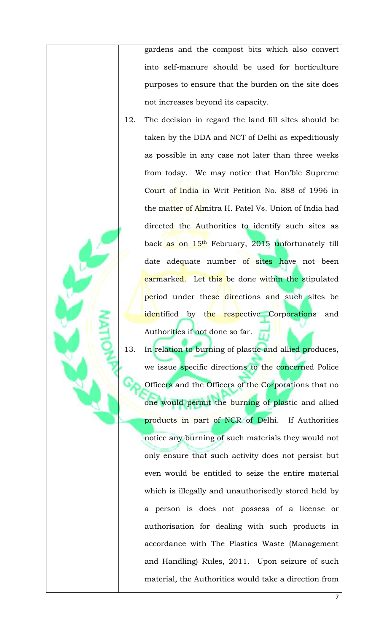gardens and the compost bits which also convert into self-manure should be used for horticulture purposes to ensure that the burden on the site does not increases beyond its capacity.

- 12. The decision in regard the land fill sites should be taken by the DDA and NCT of Delhi as expeditiously as possible in any case not later than three weeks from today. We may notice that Hon'ble Supreme Court of India in Writ Petition No. 888 of 1996 in the matter of Almitra H. Patel Vs. Union of India had directed the Authorities to identify such sites as back as on 15<sup>th</sup> February, 2015 unfortunately till date adequate number of sites have not been earmarked. Let this be done within the stipulated period under these directions and such sites be identified by the respective Corporations and Authorities if not done so far.
- 13. In relation to burning of plastic and allied produces, we issue specific directions to the concerned Police Officers and the Officers of the Corporations that no one would permit the burning of plastic and allied products in part of NCR of Delhi. If Authorities notice any burning of such materials they would not only ensure that such activity does not persist but even would be entitled to seize the entire material which is illegally and unauthorisedly stored held by a person is does not possess of a license or authorisation for dealing with such products in accordance with The Plastics Waste (Management and Handling) Rules, 2011. Upon seizure of such material, the Authorities would take a direction from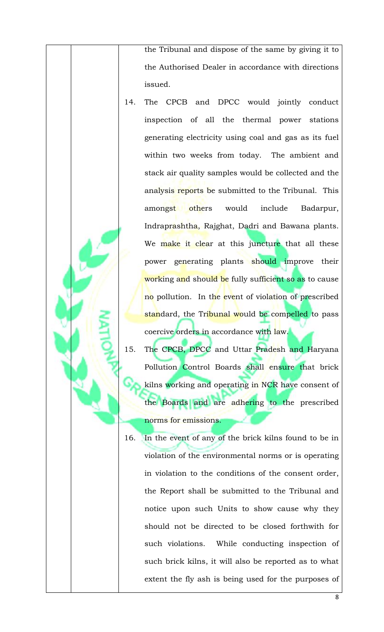the Tribunal and dispose of the same by giving it to the Authorised Dealer in accordance with directions issued.

- 14. The CPCB and DPCC would jointly conduct inspection of all the thermal power stations generating electricity using coal and gas as its fuel within two weeks from today. The ambient and stack air quality samples would be collected and the analysis reports be submitted to the Tribunal. This amongst others would include Badarpur, Indraprashtha, Rajghat, Dadri and Bawana plants. We make it clear at this juncture that all these power generating plants should improve their working and should be fully sufficient so as to cause no pollution. In the event of violation of prescribed standard, the Tribunal would be compelled to pass coercive orders in accordance with law.
- 15. The CPCB, DPCC and Uttar Pradesh and Haryana Pollution Control Boards shall ensure that brick kilns working and operating in NCR have consent of the Boards and are adhering to the prescribed norms for emissions.
- 16. In the event of any of the brick kilns found to be in violation of the environmental norms or is operating in violation to the conditions of the consent order, the Report shall be submitted to the Tribunal and notice upon such Units to show cause why they should not be directed to be closed forthwith for such violations. While conducting inspection of such brick kilns, it will also be reported as to what extent the fly ash is being used for the purposes of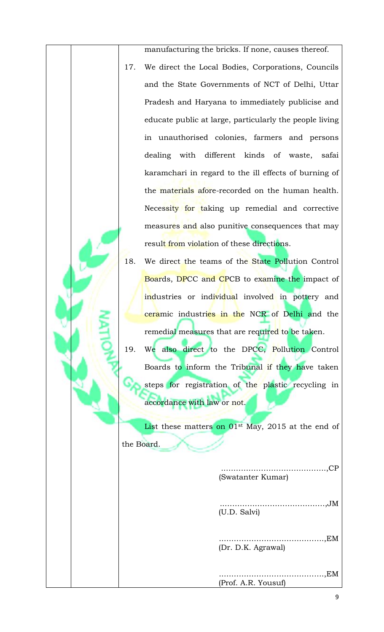manufacturing the bricks. If none, causes thereof. 17. We direct the Local Bodies, Corporations, Councils and the State Governments of NCT of Delhi, Uttar Pradesh and Haryana to immediately publicise and educate public at large, particularly the people living in unauthorised colonies, farmers and persons dealing with different kinds of waste, safai karamchari in regard to the ill effects of burning of the materials afore-recorded on the human health. Necessity for taking up remedial and corrective measures and also punitive consequences that may result from violation of these directions.

18. We direct the teams of the State Pollution Control Boards, DPCC and CPCB to examine the impact of industries or individual involved in pottery and ceramic industries in the NCR of Delhi and the remedial measures that are required to be taken.

19. We also direct to the DPCC, Pollution Control Boards to inform the Tribunal if they have taken steps for registration of the plastic recycling in accordance with law or not.

List these matters on 01<sup>st</sup> May, 2015 at the end of the Board.

> ..………………………………….,CP (Swatanter Kumar)

..………………………………….,JM (U.D. Salvi)

..………………………………….,EM (Dr. D.K. Agrawal)

.....................EM (Prof. A.R. Yousuf)